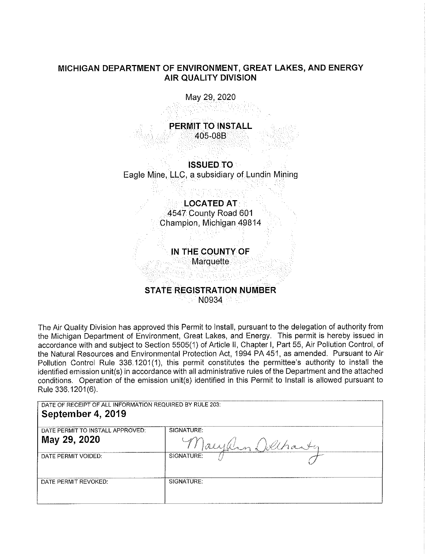## **MICHIGAN DEPARTMENT OF ENVIRONMENT, GREAT LAKES, AND ENERGY AIR QUALITY DIVISION**

May 29, 2020

**PERMIT TO INSTALL**  405-08B

**ISSUED TO**  Eagle Mine, LLC, a subsidiary of Lundin Mining

> **LOCATED AT**  4547 County Road 601 Champion, Michigan 49814

**IN THE COUNTY OF** 

**Marquette** 

## **STATE REGISTRATION NUMBER**  N0934

The Air Quality Division has approved this Permit to Install, pursuant to the delegation of authority from the Michigan Department of Environment, Great Lakes, and Energy. This permit is hereby issued in accordance with and subject to Section 5505(1) of Article 11, Chapter I, Part 55, Air Pollution Control, of the Natural Resources and Environmental Protection Act, 1994 PA 451, as amended. Pursuant to Air Pollution Control Rule 336.1201(1), this permit constitutes the permittee's authority to install the identified emission unit(s) in accordance with all administrative rules of the Department and the attached conditions. Operation of the emission unit(s) identified in this Permit to Install is allowed pursuant to Rule 336.1201 (6).

DATE OF RECEIPT OF ALL INFORMATION REQUIRED BY RULE 203:

# **September 4, 2019**  DATE PERMIT TO INSTALL APPROVED: SIGNATURE: **May 29, 2020**  DATE PERMIT VOIDED:

| May 29, 2020         |            | ulle a l belhanter |
|----------------------|------------|--------------------|
| DATE PERMIT VOIDED:  | SIGNATURE: |                    |
| DATE PERMIT REVOKED: | SIGNATURE: |                    |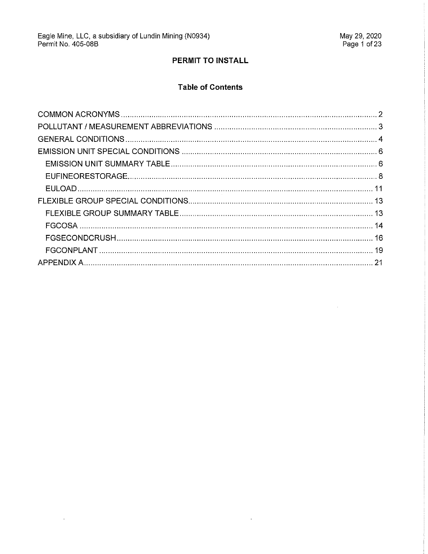$\sim$ 

 $\mathcal{A}$ 

## PERMIT TO INSTALL

# **Table of Contents**

 $\sim 10^{-10}$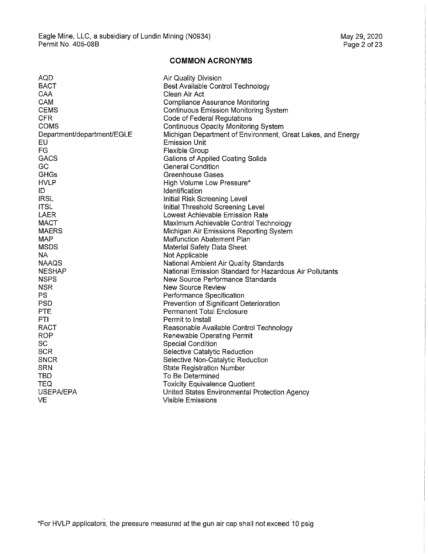### **COMMON ACRONYMS**

| <b>AQD</b>                 | Air Quality Division                                        |
|----------------------------|-------------------------------------------------------------|
| <b>BACT</b>                | Best Available Control Technology                           |
| CAA                        | Clean Air Act                                               |
| <b>CAM</b>                 | <b>Compliance Assurance Monitoring</b>                      |
| <b>CEMS</b>                | <b>Continuous Emission Monitoring System</b>                |
| <b>CFR</b>                 | Code of Federal Regulations                                 |
| <b>COMS</b>                | Continuous Opacity Monitoring System                        |
| Department/department/EGLE | Michigan Department of Environment, Great Lakes, and Energy |
| EU                         | Emission Unit                                               |
| FG                         | <b>Flexible Group</b>                                       |
| GACS                       | Gallons of Applied Coating Solids                           |
| <b>GC</b>                  | <b>General Condition</b>                                    |
| GHGs                       | <b>Greenhouse Gases</b>                                     |
| <b>HVLP</b>                | High Volume Low Pressure*                                   |
| ID                         | Identification                                              |
| <b>IRSL</b>                | Initial Risk Screening Level                                |
| <b>ITSL</b>                | Initial Threshold Screening Level                           |
| <b>LAER</b>                | Lowest Achievable Emission Rate                             |
| <b>MACT</b>                | Maximum Achievable Control Technology                       |
| <b>MAERS</b>               | Michigan Air Emissions Reporting System                     |
| <b>MAP</b>                 | <b>Malfunction Abatement Plan</b>                           |
| <b>MSDS</b>                | Material Safety Data Sheet                                  |
| <b>NA</b>                  | Not Applicable                                              |
| <b>NAAQS</b>               | National Ambient Air Quality Standards                      |
| <b>NESHAP</b>              | National Emission Standard for Hazardous Air Pollutants     |
| <b>NSPS</b>                | New Source Performance Standards                            |
| <b>NSR</b>                 | <b>New Source Review</b>                                    |
| <b>PS</b>                  | Performance Specification                                   |
| <b>PSD</b>                 | Prevention of Significant Deterioration                     |
| <b>PTE</b>                 | <b>Permanent Total Enclosure</b>                            |
| PTI                        | Permit to Install                                           |
| RACT                       | Reasonable Available Control Technology                     |
| <b>ROP</b>                 | Renewable Operating Permit                                  |
| SC                         | <b>Special Condition</b>                                    |
| <b>SCR</b>                 | Selective Catalytic Reduction                               |
| <b>SNCR</b>                | Selective Non-Catalytic Reduction                           |
| <b>SRN</b>                 | <b>State Registration Number</b>                            |
| <b>TBD</b>                 | To Be Determined                                            |
| <b>TEQ</b>                 | <b>Toxicity Equivalence Quotient</b>                        |
| <b>USEPA/EPA</b>           | United States Environmental Protection Agency               |
| VE                         | <b>Visible Emissions</b>                                    |
|                            |                                                             |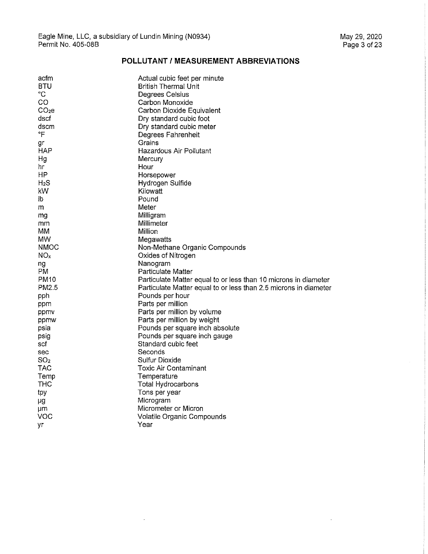$\bar{z}$ 

## **POLLUTANT/ MEASUREMENT ABBREVIATIONS**

| acfm              | Actual cubic feet per minute                                     |
|-------------------|------------------------------------------------------------------|
| BTU               | <b>British Thermal Unit</b>                                      |
| °C                | Degrees Celsius                                                  |
| CO                | Carbon Monoxide                                                  |
| CO <sub>2</sub> e | Carbon Dioxide Equivalent                                        |
| dscf              | Dry standard cubic foot                                          |
| dscm              | Dry standard cubic meter                                         |
| °F                | Degrees Fahrenheit                                               |
| gr                | Grains                                                           |
| HAP               | Hazardous Air Pollutant                                          |
| Нg                | Mercury                                                          |
| hr                | Hour                                                             |
| HP.               | Horsepower                                                       |
| $H_2S$            | Hydrogen Sulfide                                                 |
| kW                | Kilowatt                                                         |
| lb                | Pound                                                            |
| m                 | Meter                                                            |
| mg                | Milligram                                                        |
| mm                | Millimeter                                                       |
| МM                | Million                                                          |
| MW.               | Megawatts                                                        |
| <b>NMOC</b>       | Non-Methane Organic Compounds                                    |
| NO <sub>x</sub>   | Oxides of Nitrogen                                               |
| ng                | Nanogram                                                         |
| PM                | Particulate Matter                                               |
| PM10              | Particulate Matter equal to or less than 10 microns in diameter  |
| PM2.5             | Particulate Matter equal to or less than 2.5 microns in diameter |
| pph               | Pounds per hour                                                  |
| ppm               | Parts per million                                                |
| ppmv              | Parts per million by volume                                      |
| ppmw              | Parts per million by weight                                      |
| psia              | Pounds per square inch absolute                                  |
| psig              | Pounds per square inch gauge                                     |
| scf               | Standard cubic feet                                              |
| sec               | Seconds                                                          |
| SO <sub>2</sub>   | Sulfur Dioxide                                                   |
| <b>TAC</b>        | <b>Toxic Air Contaminant</b>                                     |
| Temp              | Temperature                                                      |
| THC               | <b>Total Hydrocarbons</b>                                        |
| tpy               | Tons per year                                                    |
|                   | Microgram                                                        |
| μg<br>μm          | Micrometer or Micron                                             |
| VOC               | Volatile Organic Compounds                                       |
|                   | Year                                                             |
| yr                |                                                                  |

 $\bar{\mathbf{r}}$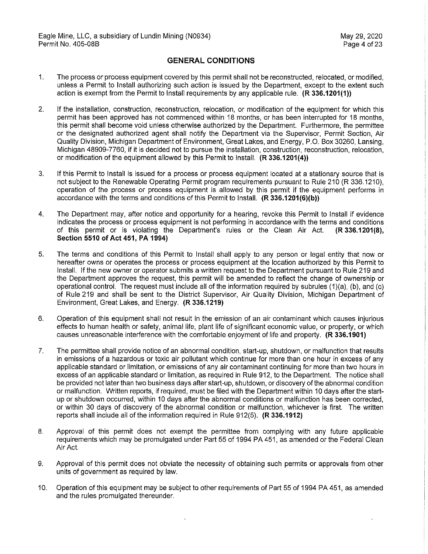## **GENERAL CONDITIONS**

- 1. The process or process equipment covered by this permit shall not be reconstructed, relocated, or modified, unless a Permit to Install authorizing such action is issued by the Department, except to the extent such action is exempt from the Permit to Install requirements by any applicable rule. **(R 336.1201(1))**
- 2. If the installation, construction, reconstruction, relocation, or modification of the equipment for which this permit has been approved has not commenced within 18 months, or has been interrupted for 18 months, this permit shall become void unless otherwise authorized by the Department. Furthermore, the permittee or the designated authorized agent shall notify the Department via the Supervisor, Permit Section, Air Quality Division, Michigan Department of Environment, Great Lakes, and Energy, P.O. Box 30260, Lansing, Michigan 48909-7760, if it is decided not to pursue the installation, construction, reconstruction, relocation, or modification of the equipment allowed by this Permit to Install. **(R 336.1201(4))**
- 3. If this Permit to Install is issued for a process or process equipment located at a stationary source that is not subject to the Renewable Operating Permit program requirements pursuant to Rule 210 (R 336.1210), operation of the process or process equipment is allowed by this permit if the equipment performs in accordance with the terms and conditions of this Permit to Install. **(R 336.1201(6)(b))**
- 4. The Department may, after notice and opportunity for a hearing, revoke this Permit to Install if evidence indicates the process or process equipment is not performing in accordance with the terms and conditions of this permit or is violating the Department's rules or the Clean Air Act. **(R 336.1201(8), Section 5510 of Act 451, PA 1994)**
- 5. The terms and conditions of this Permit to Install shall apply to any person or legal entity that now or hereafter owns or operates the process or process equipment at the location authorized by this Permit to Install. If the new owner or operator submits a written request to the Department pursuant to Rule 219 and the Department approves the request, this permit will be amended to reflect the change of ownership or operational control. The request must include all of the information required by subrules (1)(a), (b), and (c) of Rule 219 and shall be sent to the District Supervisor, Air Quality Division, Michigan Department of Environment, Great Lakes, and Energy. **(R 336.1219)**
- 6. Operation of this equipment shall not result in the emission of an air contaminant which causes injurious effects to human health or safety, animal life, plant life of significant economic value, or property, or which causes unreasonable interference with the comfortable enjoyment of life and property. **(R 336.1901)**
- 7. The permittee shall provide notice of an abnormal condition, start-up, shutdown, or malfunction that results in emissions of a hazardous or toxic air pollutant which continue for more than one hour in excess of any applicable standard or limitation, or emissions of any air contaminant continuing for more than two hours in excess of an applicable standard or limitation, as required in Rule 912, to the Department. The notice shall be provided not later than two business days after start-up, shutdown, or discovery of the abnormal condition or malfunction. Written reports, if required, must be filed with the Department within 10 days after the startup or shutdown occurred, within 10 days after the abnormal conditions or malfunction has been corrected, or within 30 days of discovery of the abnormal condition or malfunction, whichever is first. The written reports shall include all of the information required in Rule 912(5). **(R 336.1912)**
- 8. Approval of this permit does not exempt the permittee from complying with any future applicable requirements which may be promulgated under Part 55 of 1994 PA 451, as amended or the Federal Clean Air Act.
- 9. Approval of this permit does not obviate the necessity of obtaining such permits or approvals from other units of government as required by law.
- 10. Operation of this equipment may be subject to other requirements of Part 55 of 1994 PA 451, as amended and the rules promulgated thereunder.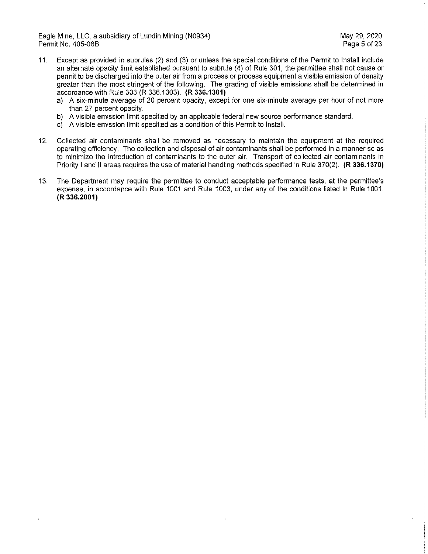Eagle Mine, LLC, a subsidiary of Lundin Mining (N0934) May 29, 2020 Permit No. 405-08B

- 11. Except as provided in subrules (2) and (3) or unless the special conditions of the Permit to Install include an alternate opacity limit established pursuant to subrule (4) of Rule 301, the permittee shall not cause or permit to be discharged into the outer air from a process or process equipment a visible emission of density greater than the most stringent of the following. The grading of visible emissions shall be determined in accordance with Rule 303 (R 336.1303). **(R 336.1301)** 
	- a) A six-minute average of 20 percent opacity, except for one six-minute average per hour of not more than 27 percent opacity.
	- b) A visible emission limit specified by an applicable federal new source performance standard.
	- c) A visible emission limit specified as a condition of this Permit to Install.
- 12. Collected air contaminants shall be removed as necessary to maintain the equipment at the required operating efficiency. The collection and disposal of air contaminants shall be performed in a manner so as to minimize the introduction of contaminants to the outer **air.** Transport of collected air contaminants in Priority I and II areas requires the use of material handling methods specified in Rule 370(2). **(R 336.1370)**
- 13. The Department may require the permittee to conduct acceptable performance tests, at the permittee's expense, in accordance with Rule 1001 and Rule 1003, under any of the conditions listed in Rule 1001. **(R 336.2001)**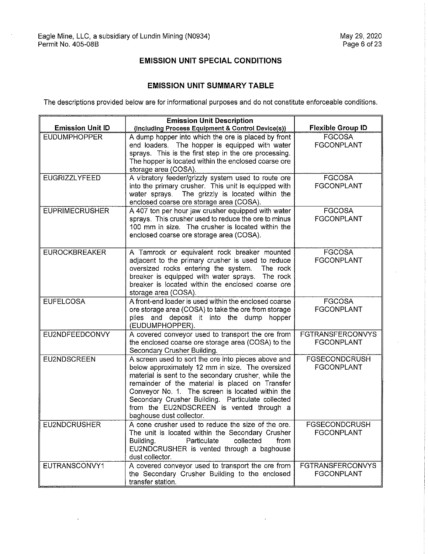$\ddot{\phantom{0}}$ 

## **EMISSION UNIT SPECIAL CONDITIONS**

## **EMISSION UNIT SUMMARY TABLE**

The descriptions provided below are for informational purposes and do not constitute enforceable conditions.

|                         | <b>Emission Unit Description</b>                                                                                                                                                                                                                                                                                                                                                                    |                                              |
|-------------------------|-----------------------------------------------------------------------------------------------------------------------------------------------------------------------------------------------------------------------------------------------------------------------------------------------------------------------------------------------------------------------------------------------------|----------------------------------------------|
| <b>Emission Unit ID</b> | (Including Process Equipment & Control Device(s))                                                                                                                                                                                                                                                                                                                                                   | <b>Flexible Group ID</b>                     |
| <b>EUDUMPHOPPER</b>     | A dump hopper into which the ore is placed by front<br>end loaders. The hopper is equipped with water<br>sprays. This is the first step in the ore processing.<br>The hopper is located within the enclosed coarse ore<br>storage area (COSA).                                                                                                                                                      | <b>FGCOSA</b><br><b>FGCONPLANT</b>           |
| <b>EUGRIZZLYFEED</b>    | A vibratory feeder/grizzly system used to route ore<br>into the primary crusher. This unit is equipped with<br>water sprays. The grizzly is located within the<br>enclosed coarse ore storage area (COSA).                                                                                                                                                                                          | <b>FGCOSA</b><br><b>FGCONPLANT</b>           |
| <b>EUPRIMECRUSHER</b>   | A 407 ton per hour jaw crusher equipped with water<br>sprays. This crusher used to reduce the ore to minus<br>100 mm in size. The crusher is located within the<br>enclosed coarse ore storage area (COSA).                                                                                                                                                                                         | <b>FGCOSA</b><br><b>FGCONPLANT</b>           |
| <b>EUROCKBREAKER</b>    | A Tamrock or equivalent rock breaker mounted<br>adjacent to the primary crusher is used to reduce<br>oversized rocks entering the system.<br>The rock<br>breaker is equipped with water sprays. The rock<br>breaker is located within the enclosed coarse ore<br>storage area (COSA).                                                                                                               | <b>FGCOSA</b><br><b>FGCONPLANT</b>           |
| <b>EUFELCOSA</b>        | A front-end loader is used within the enclosed coarse<br>ore storage area (COSA) to take the ore from storage<br>piles and deposit it into the dump<br>hopper<br>(EUDUMPHOPPER).                                                                                                                                                                                                                    | <b>FGCOSA</b><br><b>FGCONPLANT</b>           |
| EU2NDFEEDCONVY          | A covered conveyor used to transport the ore from<br>the enclosed coarse ore storage area (COSA) to the<br>Secondary Crusher Building.                                                                                                                                                                                                                                                              | <b>FGTRANSFERCONVYS</b><br><b>FGCONPLANT</b> |
| <b>EU2NDSCREEN</b>      | A screen used to sort the ore into pieces above and<br>below approximately 12 mm in size. The oversized<br>material is sent to the secondary crusher, while the<br>remainder of the material is placed on Transfer<br>Conveyor No. 1. The screen is located within the<br>Secondary Crusher Building. Particulate collected<br>from the EU2NDSCREEN is vented through a<br>baghouse dust collector. | <b>FGSECONDCRUSH</b><br><b>FGCONPLANT</b>    |
| <b>EU2NDCRUSHER</b>     | A cone crusher used to reduce the size of the ore.<br>The unit is located within the Secondary Crusher<br>Building.<br>Particulate<br>collected<br>from<br>EU2NDCRUSHER is vented through a baghouse<br>dust collector.                                                                                                                                                                             | <b>FGSECONDCRUSH</b><br><b>FGCONPLANT</b>    |
| EUTRANSCONVY1           | A covered conveyor used to transport the ore from<br>the Secondary Crusher Building to the enclosed<br>transfer station.                                                                                                                                                                                                                                                                            | <b>FGTRANSFERCONVYS</b><br><b>FGCONPLANT</b> |

 $\ddot{\phantom{a}}$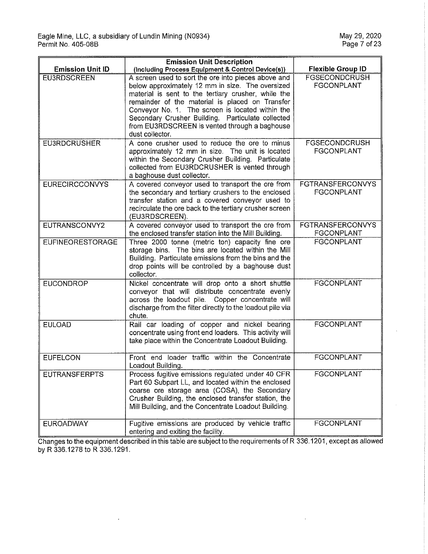$\ddot{\phantom{a}}$ 

|                         | <b>Emission Unit Description</b>                                                                                                                                                                                                                                                                                                                                                               |                                              |
|-------------------------|------------------------------------------------------------------------------------------------------------------------------------------------------------------------------------------------------------------------------------------------------------------------------------------------------------------------------------------------------------------------------------------------|----------------------------------------------|
| <b>Emission Unit ID</b> | (Including Process Equipment & Control Device(s))                                                                                                                                                                                                                                                                                                                                              | <b>Flexible Group ID</b>                     |
| <b>EU3RDSCREEN</b>      | A screen used to sort the ore into pieces above and<br>below approximately 12 mm in size. The oversized<br>material is sent to the tertiary crusher, while the<br>remainder of the material is placed on Transfer<br>Conveyor No. 1. The screen is located within the<br>Secondary Crusher Building. Particulate collected<br>from EU3RDSCREEN is vented through a baghouse<br>dust collector. | <b>FGSECONDCRUSH</b><br><b>FGCONPLANT</b>    |
| <b>EU3RDCRUSHER</b>     | A cone crusher used to reduce the ore to minus<br>approximately 12 mm in size. The unit is located<br>within the Secondary Crusher Building. Particulate<br>collected from EU3RDCRUSHER is vented through<br>a baghouse dust collector.                                                                                                                                                        | <b>FGSECONDCRUSH</b><br><b>FGCONPLANT</b>    |
| <b>EURECIRCCONVYS</b>   | A covered conveyor used to transport the ore from<br>the secondary and tertiary crushers to the enclosed<br>transfer station and a covered conveyor used to<br>recirculate the ore back to the tertiary crusher screen<br>(EU3RDSCREEN).                                                                                                                                                       | <b>FGTRANSFERCONVYS</b><br><b>FGCONPLANT</b> |
| EUTRANSCONVY2           | A covered conveyor used to transport the ore from<br>the enclosed transfer station into the Mill Building.                                                                                                                                                                                                                                                                                     | <b>FGTRANSFERCONVYS</b><br>FGCONPLANT        |
| <b>EUFINEORESTORAGE</b> | Three 2000 tonne (metric ton) capacity fine ore<br>storage bins. The bins are located within the Mill<br>Building. Particulate emissions from the bins and the<br>drop points will be controlled by a baghouse dust<br>collector.                                                                                                                                                              | <b>FGCONPLANT</b>                            |
| <b>EUCONDROP</b>        | Nickel concentrate will drop onto a short shuttle<br>conveyor that will distribute concentrate evenly<br>across the loadout pile. Copper concentrate will<br>discharge from the filter directly to the loadout pile via<br>chute.                                                                                                                                                              | <b>FGCONPLANT</b>                            |
| <b>EULOAD</b>           | Rail car loading of copper and nickel bearing<br>concentrate using front end loaders. This activity will<br>take place within the Concentrate Loadout Building.                                                                                                                                                                                                                                | <b>FGCONPLANT</b>                            |
| <b>EUFELCON</b>         | Front end loader traffic within the Concentrate<br>Loadout Building.                                                                                                                                                                                                                                                                                                                           | <b>FGCONPLANT</b>                            |
| <b>EUTRANSFERPTS</b>    | Process fugitive emissions regulated under 40 CFR<br>Part 60 Subpart LL, and located within the enclosed<br>coarse ore storage area (COSA), the Secondary<br>Crusher Building, the enclosed transfer station, the<br>Mill Building, and the Concentrate Loadout Building.                                                                                                                      | FGCONPLANT                                   |
| <b>EUROADWAY</b>        | Fugitive emissions are produced by vehicle traffic<br>entering and exiting the facility.                                                                                                                                                                                                                                                                                                       | <b>FGCONPLANT</b>                            |

Changes to the equipment described in this table are subject to the requirements of R 336.1201, except as allowed by R 336.1278 to R 336.1291.

 $\bar{z}$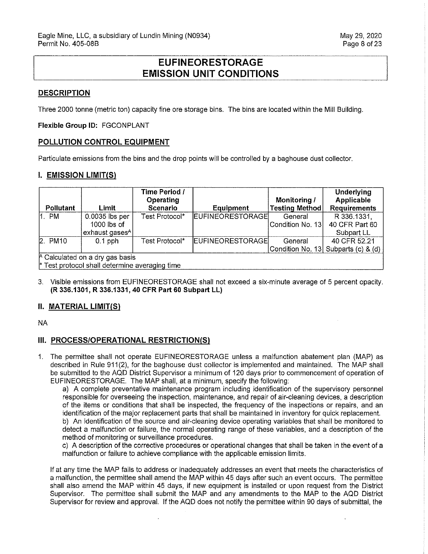# **EUFINEORESTORAGE EMISSION UNIT CONDITIONS**

## **DESCRIPTION**

Three 2000 tonne (metric ton) capacity fine ore storage bins. The bins are located within the Mill Building.

#### **Flexible Group ID:** FGCONPLANT

### **POLLUTION CONTROL EQUIPMENT**

Particulate emissions from the bins and the drop points will be controlled by a baghouse dust collector.

#### **I. EMISSION LIMIT(S)**

| Pollutant                                                                           | Limit                                                         | Time Period /<br>Operating<br>Scenario | <b>Equipment</b>        | Monitoring /<br><b>Testing Method</b> | <b>Underlying</b><br>Applicable<br><b>Requirements</b> |
|-------------------------------------------------------------------------------------|---------------------------------------------------------------|----------------------------------------|-------------------------|---------------------------------------|--------------------------------------------------------|
| 1. PM                                                                               | 0.0035 lbs per<br>$1000$ lbs of<br>exhaust gases <sup>A</sup> | Test Protocol*                         | <b>EUFINEORESTORAGE</b> | General<br> Condition No. 13          | R 336.1331.<br>40 CFR Part 60<br>Subpart LL            |
| 2. P <sub>M10</sub>                                                                 | $0.1$ pph                                                     | Test Protocol*                         | <b>EUFINEORESTORAGE</b> | General                               | 40 CFR 52.21<br>Condition No. 13 Subparts (c) & (d)    |
| $A$ Calculated on a dry gas basis<br>* Test protocol shall determine averaging time |                                                               |                                        |                         |                                       |                                                        |

3. Visible emissions from EUFINEORESTORAGE shall not exceed a six-minute average of 5 percent opacity. **(R 336.1301, R 336.1331, 40 CFR Part 60 Subpart LL)** 

## **II. MATERIAL LIMIT(S)**

NA

### **III. PROCESS/OPERATIONAL RESTRICTION(S)**

1. The permittee shall not operate EUFINEORESTORAGE unless a malfunction abatement plan (MAP) as described in Rule 911(2), for the baghouse dust collector is implemented and maintained. The MAP shall be submitted to the AQD District Supervisor a minimum of 120 days prior to commencement of operation of EUFINEORESTORAGE. The MAP shall, at a minimum, specify the following:

a) A complete preventative maintenance program including identification of the supervisory personnel responsible for overseeing the inspection, maintenance, and repair of air-cleaning devices, a description of the items or conditions that shall be inspected, the frequency of the inspections or repairs, and an identification of the major replacement parts that shall be maintained in inventory for quick replacement b) An identification of the source and air-cleaning device operating variables that shall be monitored to detect a malfunction or failure, the normal operating range of these variables, and a description of the method of monitoring or surveillance procedures.

c) A description of the corrective procedures or operational changes that shall be taken in the event of a malfunction or failure to achieve compliance with the applicable emission limits.

If at any time the MAP fails to address or inadequately addresses an event that meets the characteristics of a malfunction, the permittee shall amend the MAP within 45 days after such an event occurs. The permittee shall also amend the MAP within 45 days, if new equipment is installed or upon request from the District Supervisor. The permittee shall submit the MAP and any amendments to the MAP to the AQD District Supervisor for review and approval. If the AQD does not notify the permittee within 90 days of submittal, the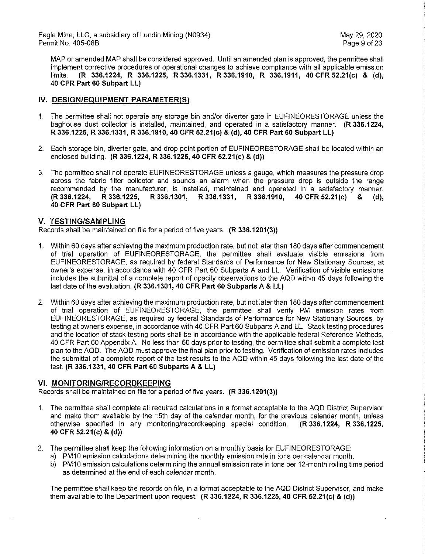MAP or amended MAP shall be considered approved. Until an amended plan is approved, the permittee shall implement corrective procedures or operational changes to achieve compliance with all applicable emission limits. **(R 336.1224, R 336.1225, R 336.1331, R 336.1910, R 336.1911, 40 CFR 52.21(c) & (d), 40 CFR Part 60 Subpart LL)** 

## **IV. DESIGN/EQUIPMENT PARAMETER(S)**

- 1. The permittee shall not operate any storage bin and/or diverter gate in EUFINEORESTORAGE unless the baghouse dust collector is installed, maintained, and operated in a satisfactory manner. **(R 336.1224, R 336.1225, R 336.1331, R 336.1910, 40 CFR 52.21(c) & (d), 40 CFR Part 60 Subpart LL)**
- 2. Each storage bin, diverter gate, and drop point portion of EUFINEORESTORAGE shall be located within an enclosed building. **(R 336.1224, R 336.1225, 40 CFR 52.21(c) & (d))**
- 3. The permittee shall not operate EUFINEORESTORAGE unless a gauge, which measures the pressure drop across the fabric filter collector and sounds an alarm when the pressure drop is outside the range recommended by the manufacturer, is installed, maintained and operated in a satisfactory manner. **(R 336.1224, R 336.1225, R 336.1301, R 336.1331, R 336.1910, 40 CFR 52.21(c) & (d), 40 CFR Part 60 Subpart LL)**

### **V. TESTING/SAMPLING**

Records shall be maintained on file for a period of five years. **(R 336.1201(3))** 

- 1. Within 60 days after achieving the maximum production rate, but not later than 180 days after commencement of trial operation of EUFINEORESTORAGE, the permittee shall evaluate visible emissions from EUFINEORESTORAGE, as required by federal Standards of Performance for New Stationary Sources, at owner's expense, in accordance with 40 CFR Part 60 Subparts A and LL. Verification of visible emissions includes the submittal of a complete report of opacity observations to the AQD within 45 days following the last date of the evaluation. **(R 336.1301, 40 CFR Part 60 Subparts A & LL)**
- 2. Within 60 days after achieving the maximum production rate, but not later than 180 days after commencement of trial operation of EUFINEORESTORAGE, the permittee shall verify PM emission rates from EUFINEORESTORAGE, as required by federal Standards of Performance for New Stationary Sources, by testing at owner's expense, in accordance with 40 CFR Part 60 Subparts A and LL. Stack testing procedures and the location of stack testing ports shall be in accordance with the applicable federal Reference Methods, 40 CFR Part 60 Appendix A. No less than 60 days prior to testing, the permittee shall submit a complete test plan to the AQD. The AQD must approve the final plan prior to testing. Verification of emission rates includes the submittal of a complete report of the test results to the AQD within 45 days following the last date of the test. **(R 336.1331, 40 CFR Part 60 Subparts A & LL)**

### **VI. MONITORING/RECORDKEEPING**

Records shall be maintained on file for a period of five years. **(R 336.1201(3))** 

- 1. The permittee shall complete all required calculations in a format acceptable to the AQD District Supervisor and make them available by the 15th day of the calendar month, for the previous calendar month, unless otherwise specified in any monitoring/recordkeeping special condition. **(R 336.1224, R 336.1225, 40 CFR 52.21 (c)** & **(d))**
- 2. The permittee shall keep the following information on a monthly basis for EUFINEORESTORAGE:
	- a) PM10 emission calculations determining the monthly emission rate in tons per calendar month.
	- b) PM10 emission calculations determining the annual emission rate in tons per 12-month rolling time period as determined at the end of each calendar month.

The permittee shall keep the records on file, in a format acceptable to the AQD District Supervisor, and make them available to the Department upon request. **(R 336.1224, R 336.1225, 40 CFR 52.21(c) & (d))**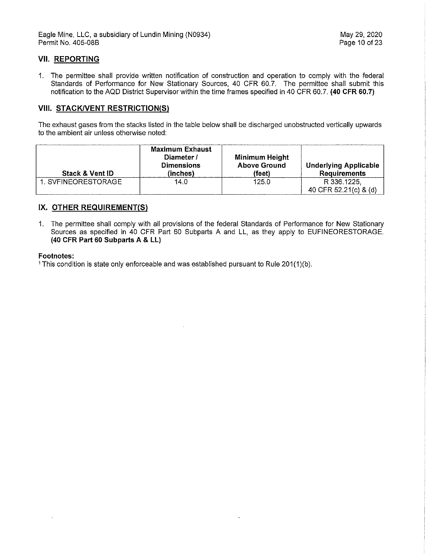## **VII. REPORTING**

1. The permittee shall provide written notification of construction and operation to comply with the federal Standards of Performance for New Stationary Sources, 40 CFR 60.7. The permittee shall submit this notification to the AQD District Supervisor within the time frames specified in 40 CFR 60.7. **(40 CFR 60.7)** 

### **VIII. STACK/VENT RESTRICTION(S)**

The exhaust gases from the stacks listed in the table below shall be discharged unobstructed vertically upwards to the ambient air unless otherwise noted:

| <b>Stack &amp; Vent ID</b> | <b>Maximum Exhaust</b><br>Diameter /<br><b>Dimensions</b><br>(inches) | Minimum Height<br><b>Above Ground</b><br>(feet) | <b>Underlying Applicable</b><br><b>Requirements</b> |
|----------------------------|-----------------------------------------------------------------------|-------------------------------------------------|-----------------------------------------------------|
| 1. SVFINEORESTORAGE        | 14.0                                                                  | 125.0                                           | R 336.1225,<br>40 CFR 52.21(c) & (d)                |

## **IX. OTHER REQUIREMENT(S)**

1. The permittee shall comply with all provisions of the federal Standards of Performance for New Stationary Sources as specified in 40 CFR Part 60 Subparts A and LL, as they apply to EUFINEORESTORAGE. **(40 CFR Part 60 Subparts A & LL)** 

 $\bar{z}$ 

#### **Footnotes:**

 $\ddot{\phantom{a}}$ 

<sup>1</sup> This condition is state only enforceable and was established pursuant to Rule 201(1)(b).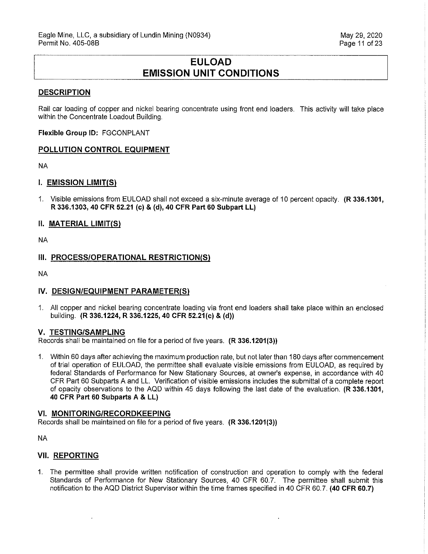# **EULOAD EMISSION UNIT CONDITIONS**

#### **DESCRIPTION**

Rail car loading of copper and nickel bearing concentrate using front end loaders. This activity will take place within the Concentrate Loadout Building.

**Flexible Group ID:** FGCONPLANT

#### **POLLUTION CONTROL EQUIPMENT**

NA

#### I. **EMISSION LIMIT(S)**

1. Visible emissions from EU LOAD shall not exceed a six-minute average of 10 percent opacity. **(R 336.1301, R 336.1303, 40 CFR 52.21 (c) & (d), 40 CFR Part 60 Subpart LL)** 

#### **II. MATERIAL LIMIT(S)**

NA

### **III. PROCESS/OPERATIONAL RESTRICTION(S)**

NA

### **IV. DESIGN/EQUIPMENT PARAMETER(Sl**

1. All copper and nickel bearing concentrate loading via front end loaders shall take place within an enclosed building. **(R 336.1224, R 336.1225, 40 CFR 52.21(c) & (d))** 

#### **V. TESTING/SAMPLING**

Records shall be maintained on file for a period of five years. **(R 336.1201(3))** 

1. Within 60 days after achieving the maximum production rate, but not later than 180 days after commencement of trial operation of EULOAD, the permittee shall evaluate visible emissions from EU LOAD, as required by federal Standards of Performance for New Stationary Sources, at owner's expense, in accordance with 40 CFR Part 60 Subparts A and LL. Verification of visible emissions includes the submittal of a complete report cf opacity observations to the AQD within 45 days following the last date of the evaluation. **(R 336.1301, 40 CFR Part 60 Subparts A & LL)** 

#### **VI. MONITORING/RECORDKEEPING**

Records shall be maintained on file for a period of five years. **(R 336.1201(3))** 

NA

### **VII. REPORTING**

1. The permittee shall provide written notification of construction and operation to comply with the federal Standards of Performance for New Stationary Sources, 40 CFR 60.7. The permittee shall submit this notification to the AQD District Supervisor within the time frames specified in 40 CFR 60.7. **(40 CFR 60.7)**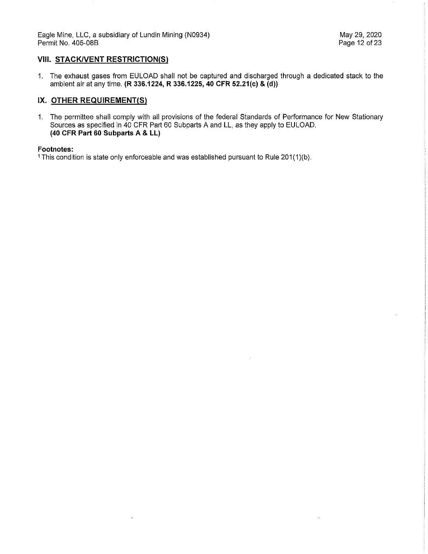l,

## **VIII. STACK/VENT RESTRICTION(S)**

1. The exhaust gases from EULOAD shall not be captured and discharged through a dedicated stack to the ambient air at any time. **(R 336.1224, R 336.1225, 40 CFR 52.21(c) & (d))** 

## **IX. OTHER REQUIREMENT(S)**

1. The permittee shall comply with all provisions of the federal Standards of Performance for New Stationary Sources as specified in 40 CFR Part 60 Subparts A and LL, as they apply to EULOAD. **(40 CFR Part 60 Subparts A & LL)** 

#### **Footnotes:**

<sup>1</sup> This condition is state only enforceable and was established pursuant to Rule 201(1)(b).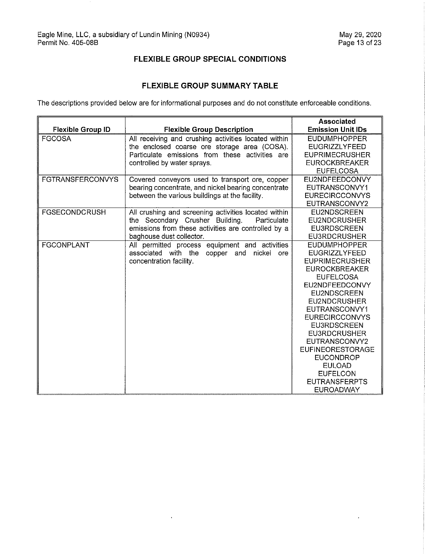$\hat{\mathcal{A}}$ 

# **FLEXIBLE GROUP SPECIAL CONDITIONS**

## **FLEXIBLE GROUP SUMMARY TABLE**

The descriptions provided below are for informational purposes and do not constitute enforceable conditions.

|                          |                                                      | <b>Associated</b>        |
|--------------------------|------------------------------------------------------|--------------------------|
| <b>Flexible Group ID</b> | <b>Flexible Group Description</b>                    | <b>Emission Unit IDs</b> |
| <b>FGCOSA</b>            | All receiving and crushing activities located within | <b>EUDUMPHOPPER</b>      |
|                          | the enclosed coarse ore storage area (COSA).         | <b>EUGRIZZLYFEED</b>     |
|                          | Particulate emissions from these activities are      | <b>EUPRIMECRUSHER</b>    |
|                          | controlled by water sprays.                          | <b>EUROCKBREAKER</b>     |
|                          |                                                      | <b>EUFELCOSA</b>         |
| <b>FGTRANSFERCONVYS</b>  | Covered conveyors used to transport ore, copper      | EU2NDFEEDCONVY           |
|                          | bearing concentrate, and nickel bearing concentrate  | EUTRANSCONVY1            |
|                          | between the various buildings at the facility.       | <b>EURECIRCCONVYS</b>    |
|                          |                                                      | EUTRANSCONVY2            |
| <b>FGSECONDCRUSH</b>     | All crushing and screening activities located within | <b>EU2NDSCREEN</b>       |
|                          | the Secondary Crusher Building.<br>Particulate       | <b>EU2NDCRUSHER</b>      |
|                          | emissions from these activities are controlled by a  | <b>EU3RDSCREEN</b>       |
|                          | baghouse dust collector.                             | <b>EU3RDCRUSHER</b>      |
| <b>FGCONPLANT</b>        | All permitted process equipment and activities       | <b>EUDUMPHOPPER</b>      |
|                          | associated with the copper and nickel ore            | <b>EUGRIZZLYFEED</b>     |
|                          | concentration facility.                              | <b>EUPRIMECRUSHER</b>    |
|                          |                                                      | <b>EUROCKBREAKER</b>     |
|                          |                                                      | <b>EUFELCOSA</b>         |
|                          |                                                      | EU2NDFEEDCONVY           |
|                          |                                                      | <b>EU2NDSCREEN</b>       |
|                          |                                                      | EU2NDCRUSHER             |
|                          |                                                      | EUTRANSCONVY1            |
|                          |                                                      | <b>EURECIRCCONVYS</b>    |
|                          |                                                      | <b>EU3RDSCREEN</b>       |
|                          |                                                      | <b>EU3RDCRUSHER</b>      |
|                          |                                                      | EUTRANSCONVY2            |
|                          |                                                      | <b>EUFINEORESTORAGE</b>  |
|                          |                                                      | <b>EUCONDROP</b>         |
|                          |                                                      | <b>EULOAD</b>            |
|                          |                                                      | <b>EUFELCON</b>          |
|                          |                                                      | <b>EUTRANSFERPTS</b>     |
|                          |                                                      | <b>EUROADWAY</b>         |

 $\bar{\mathbf{r}}$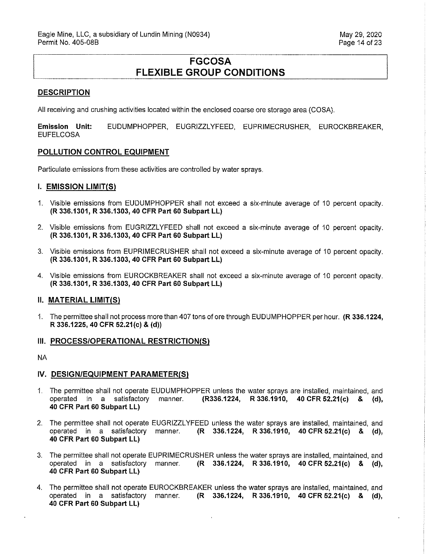# **FGCOSA FLEXIBLE GROUP CONDITIONS**

#### **DESCRIPTION**

All receiving and crushing activities located within the enclosed coarse ore storage area (GOSA).

**Emission Unit:** EUDUMPHOPPER, EUGRIZZL YFEED, EUPRIMECRUSHER, EUROCKBREAKER, EUFELCOSA

#### **POLLUTION CONTROL EQUIPMENT**

Particulate emissions from these activities are controlled by water sprays.

#### **I. EMISSION LIMIT(S)**

- 1. Visible emissions from EUDUMPHOPPER shall not exceed a six-minute average of 10 percent opacity. **(R 336.1301, R 336.1303, 40 CFR Part 60 Subpart LL)**
- 2. Visible emissions from EUGRIZZL YFEED shall not exceed a six-minute average of 10 percent opacity. **(R 336.1301, R 336.1303, 40 CFR Part 60 Subpart LL)**
- 3. Visible emissions from EUPRIMECRUSHER shall not exceed a six-minute average of 1O percent opacity. **(R 336.1301, R 336.1303, 40 CFR Part 60 Subpart LL)**
- 4. Visible emissions from EUROCKBREAKER shall not exceed a six-minute average of 10 percent opacity. **(R 336.1301, R 336.1303, 40 CFR Part 60 Subpart LL)**

#### **II. MATERIAL LIMIT(S)**

1. The permittee shall not process more than 407 tons of ore through EUDUMPHOPPER per hour. **(R 336.1224, R 336.1225, 40 CFR 52.21(c) & (d))** 

#### **III. PROCESS/OPERATIONAL RESTRICTION(S)**

NA

#### **IV. DESIGN/EQUIPMENT PARAMETER(S)**

- 1. The permittee shall not operate EUDUMPHOPPER unless the water sprays are installed, maintained, and operated in a satisfactory manner. **(R336.1224, R 336.1910, 40 CFR 52.21(c) & (d), 40 CFR Part 60 Subpart LL)**
- 2. The permittee shall not operate EUGRIZZL YFEED unless the water sprays are installed, maintained, and operated in a satisfactory manner. **(R 336.1224, R 336.1910, 40 CFR 52.21(c) & (d), 40 CFR Part 60 Subpart LL)**
- 3. The permittee shall not operate EUPRIMECRUSHER unless the water sprays are installed, maintained, and operated in a satisfactory manner. **(R 336.1224, R 336.1910, 40 CFR 52.21(c) & (d), 40 CFR Part 60 Subpart LL)**
- 4. The permittee shall not operate EUROCKBREAKER unless the water sprays are installed, maintained, and operated in a satisfactory manner. **(R 336.1224, R 336.1910, 40 CFR 52.21(c) & (d), 40 CFR Part 60 Subpart LL)**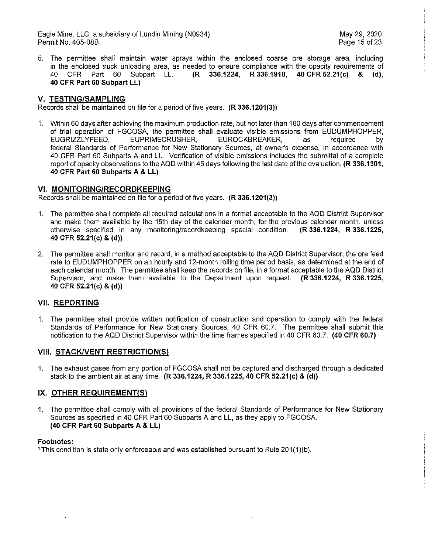Eagle Mine, LLC, a subsidiary of Lundin Mining (N0934) May 29, 2020 Permit No. 405-08B

5. The permittee shall maintain water sprays within the enclosed coarse ore storage area, including in the enclosed truck unloading area, as needed to ensure compliance with the opacity requirements of 40 CFR Part 60 Subpart LL. **(R 336.1224, R 336.1910, 40 CFR 52.21(c) & (d), 40 CFR Part 60 Subpart LL)** 

#### **V. TESTING/SAMPLING**

Records shall be maintained on file for a period of five years. **(R 336.1201(3))** 

1. Within 60 days after achieving the maximum production rate, but not later than 180 days after commencement of trial operation of FGCOSA, the permittee shall evaluate visible emissions from EUDUMPHOPPER, EUGRIZZL YFEED, EUPRIMECRUSHER, EUROCKBREAKER, as required by federal Standards of Performance for New Stationary Sources, at owner's expense, in accordance with 40 CFR Part 60 Subparts A and LL. Verification of visible emissions includes the submittal of a complete report of opacity observations to the AQD within 45 days following the last date of the evaluation. **(R 336.1301, 40 CFR Part 60 Subparts A & LL)** 

#### **VI. MONITORING/RECORDKEEPING**

Records shall be maintained on file for a period of five years. **(R 336.1201(3))** 

- 1. The permittee shall complete all required calculations in a format acceptable to the AQD District Supervisor and make them available by the 15th day of the calendar month, for the previous calendar month, unless otherwise specified in any monitoring/recordkeeping special condition. **(R 336.1224, R 336.1225, 40 CFR 52.21(c) & (d))**
- 2. The permittee shall monitor and record, in a method acceptable to the AQD District Supervisor, the ore feed rate to EUDUMPHOPPER on an hourly and 12-month rolling time period basis, as determined at the end of each calendar month. The permittee shall keep the records on file, in a format acceptable to the AQD District Supervisor, and make them available to the Department upon request. **(R 336.1224, R 336.1225, 40 CFR 52.21(c) & (d))**

### **VII. REPORTING**

1. The permittee shall provide written notification of construction and operation to comply with the federal Standards of Performance for New Stationary Sources, 40 CFR 60.7. The permittee shall submit this notification to the AQD District Supervisor within the time frames specified in 40 CFR 60.7. **(40 CFR 60.7)** 

#### **VIII. STACK/VENT RESTRICTION(S)**

1. The exhaust gases from any portion of FGCOSA shall not be captured and discharged through a dedicated stack to the ambient air at any time. **(R 336.1224, R 336.1225, 40 CFR 52.21(c) & (d))** 

#### **IX. OTHER REQUIREMENT{S)**

1. The permittee shall comply with all provisions of the federal Standards of Performance for New Stationary Sources as specified in 40 CFR Part 60 Subparts A and LL, as they apply to FGCOSA. **(40 CFR Part 60 Subparts A & LL)** 

#### **Footnotes:**

1 This condition is state only enforceable and was established pursuant to Rule 201(1)(b).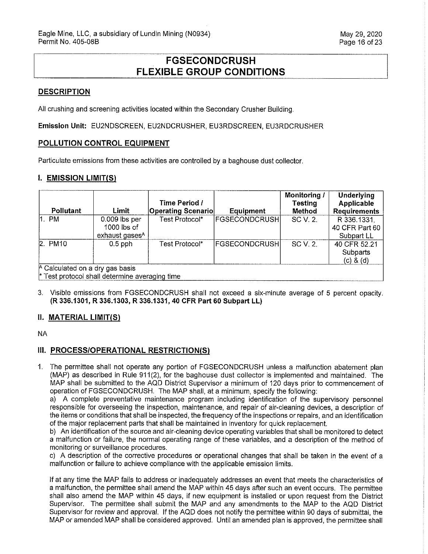# **FGSECONDCRUSH FLEXIBLE GROUP CONDITIONS**

## **DESCRIPTION**

All crushing and screening activities located within the Secondary Crusher Building.

**Emission Unit:** EU2NDSCREEN, EU2NDCRUSHER, EU3RDSCREEN, EU3RDCRUSHER

### **POLLUTION CONTROL EQUIPMENT**

Particulate emissions from these activities are controlled by a baghouse dust collector.

#### **I. EMISSION LIMIT(S)**

| <b>Pollutant</b>                | Limit                                          | Time Period /<br><b>Operating Scenario</b> | <b>Equipment</b>     | Monitoring /<br><b>Testing</b><br>Method | <b>Underlying</b><br>Applicable<br><b>Requirements</b> |  |
|---------------------------------|------------------------------------------------|--------------------------------------------|----------------------|------------------------------------------|--------------------------------------------------------|--|
| $1.$ PM                         | $0.009$ lbs per                                | Test Protocol*                             | FGSECONDCRUSH        | SC V. 2.                                 | R 336.1331,                                            |  |
|                                 | $1000$ lbs of                                  |                                            |                      |                                          | 40 CFR Part 60                                         |  |
|                                 | exhaust gases <sup>A</sup>                     |                                            |                      |                                          | Subpart LL                                             |  |
| $2.$ PM10                       | $0.5$ pph                                      | Test Protocol*                             | <b>FGSECONDCRUSH</b> | SC V. 2.                                 | 40 CFR 52.21                                           |  |
|                                 |                                                |                                            |                      |                                          | Subparts                                               |  |
|                                 |                                                |                                            |                      |                                          | (c) 8 (d)                                              |  |
| A Calculated on a dry gas basis |                                                |                                            |                      |                                          |                                                        |  |
|                                 | * Test protocol shall determine averaging time |                                            |                      |                                          |                                                        |  |

3. Visible emissions from FGSECONDCRUSH shall not exceed a six-minute average of 5 percent opacity. **(R 336.1301, R 336.1303, R 336.1331, 40 CFR Part 60 Subpart LL)** 

### **II. MATERIAL LIMIT(S)**

NA

### **Ill. PROCESS/OPERATIONAL RESTRICTION(S)**

1. The permittee shall not operate any portion of FGSECONDCRUSH unless a malfunction abatement plan  $(MAP)$  as described in Rule 911(2), for the bag house dust collector is implemented and maintained. The MAP shall be submitted to the AQD District Supervisor a minimum of 120 days prior to commencement of operation of FGSECONDCRUSH. The MAP shall, at a minimum, specify the following:

a) A complete preventative maintenance program including identification of the supervisory personnel responsible for overseeing the inspection, maintenance, and repair of air-cleaning devices, a description of the items or conditions that shall be inspected, the frequency of the inspections or repairs, and an identification of the major replacement parts that shall be maintained in inventory for quick replacement.

b) An identification of the source and air-cleaning device operating variables that shall be monitored to detect a malfunction or failure, the normal operating range of these variables, and a description of the method of monitoring or surveillance procedures.

c) A description of the corrective procedures or operational changes that shall be taken in the event of a malfunction or failure to achieve compliance with the applicable emission limits.

If at any time the MAP fails to address or inadequately addresses an event that meets the characteristics of a malfunction, the permittee shall amend the MAP within 45 days after such an event occurs. The permittee shall also amend the MAP within 45 days, if new equipment is installed or upon request from the District Supervisor. The permittee shall submit the MAP and any amendments to the MAP to the AQD District Supervisor for review and approval. If the AQD does not notify the permittee within 90 days of submittal, the MAP or amended MAP shall be considered approved. Until an amended plan is approved, the permittee shall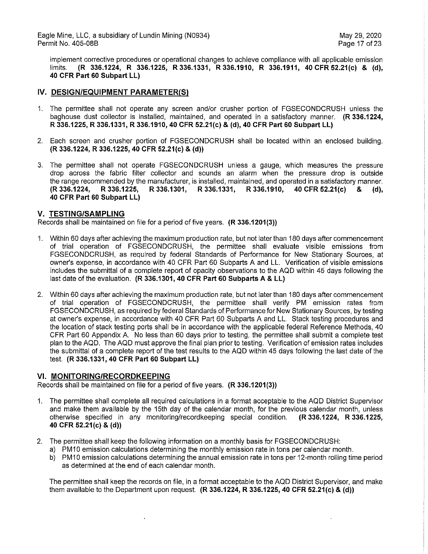implement corrective procedures or operational changes to achieve compliance with all applicable emission limits. **(R 336.1224, R 336.1225, R 336.1331, R 336.1910, R 336.1911, 40 CFR 52.21(c) & (d), 40 CFR Part 60 Subpart LL)** 

## **IV. DESIGN/EQUIPMENT PARAMETER(S)**

- 1. The permittee shall not operate any screen and/or crusher portion of FGSECONDCRUSH unless the baghouse dust collector is installed, maintained, and operated in a satisfactory manner. **(R 336.1224, R 336.1225, R 336.1331, R 336.1910, 40 CFR 52.21(c) & (d), 40 CFR Part 60 Subpart LL)**
- 2. Each screen and crusher portion of FGSECONDCRUSH shall be located within an enclosed building. **(R 336.1224, R 336.1225, 40 CFR 52.21(c) & (d))**
- 3. The permittee shall not operate FGSECONDCRUSH unless a gauge, which measures the pressure drop across the fabric filter collector and sounds an alarm when the pressure drop is outside the range recommended by the manufacturer, is installed, maintained, and operated in a satisfactory manner.<br>(R 336.1224, R 336.1225, R 336.1301, R 336.1331, R 336.1910, 40 CFR 52.21(c) & (d), **(R 336.1224, R 336.1225, R 336.1301, R 336.1331, R 336.1910, 40 CFR 52.21(c) & (d), 40 CFR Part 60 Subpart LL)**

### **V. TESTING/SAMPLING**

Records shall be maintained on file for a period of five years. **(R 336.1201(3))** 

- 1. Within 60 days after achieving the maximum production rate, but not later than 180 days after commencement of trial operation of FGSECONDCRUSH, the permittee shall evaluate visible emissions from FGSECONDCRUSH, as required by federal Standards of Performance for New Stationary Sources, at owner's expense, in accordance with 40 CFR Part 60 Subparts A and LL. Verification of visible emissions includes the submittal of a complete report of opacity observations to the AQD within 45 days following the last date of the evaluation. **(R 336.1301, 40 CFR Part 60 Subparts A & LL)**
- 2. Within 60 days after achieving the maximum production rate, but not later than 180 days after commencement of trial operation of FGSECONDCRUSH, the permittee shall verify PM emission rates from FGSECONDCRUSH, as required by federal Standards of Performance for New Stationary Sources, by testing at owner's expense, in accordance with 40 CFR Part 60 Subparts A and LL. Stack testing procedures and the location of stack testing ports shall be in accordance with the applicable federal Reference Methods, 40 CFR Part 60 Appendix A. No less than 60 days prior to testing, the permittee shall submit a complete test plan to the AQD. The AQD must approve the final plan prior to testing. Verification of emission rates includes the submittal of a complete report of the test results to the AQD within 45 days following the last date of the test. **(R 336.1331, 40 CFR Part 60 Subpart LL)**

### **VI. MONITORING/RECORDKEEPING**

Records shall be maintained on file for a period of five years. **(R 336.1201(3))** 

- 1. The permittee shall complete all required calculations in a format acceptable to the AQD District Supervisor and make them available by the 15th day of the calendar month, for the previous calendar month, unless otherwise specified in any monitoring/recordkeeping special condition. **(R 336.1224, R 336.1225, 40 CFR 52.21 (c)** & **(d))**
- 2. The permittee shall keep the following information on a monthly basis for FGSECONDCRUSH:
	- a) PM10 emission calculations determining the monthly emission rate in tons per calendar month.
	- b) PM10 emission calculations determining the annual emission rate in tons per 12-month rolling time period as determined at the end of each calendar month.

The permittee shall keep the records on file, in a format acceptable to the AQD District Supervisor, and make them available to the Department upon request. **(R 336.1224, R 336.1225, 40 CFR 52.21(c) & (d))**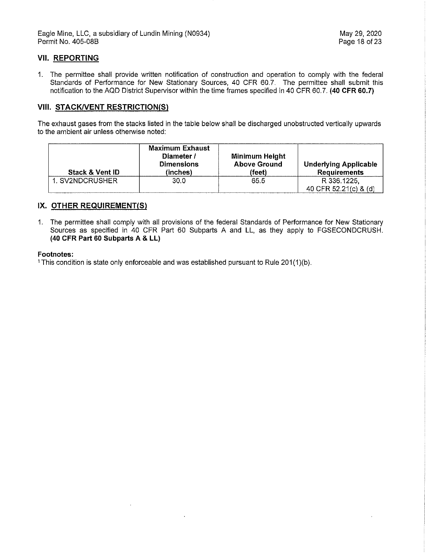## **VII. REPORTING**

1. The permittee shall provide written notification of construction and operation to comply with the federal Standards of Performance for New Stationary Sources, 40 CFR 60.7. The permittee shall submit this notification to the AQD District Supervisor within the time frames specified in 40 CFR 60.7. **(40 CFR 60.7)** 

### **VIII. STACK/VENT RESTRICTION(S)**

The exhaust gases from the stacks listed in the table below shall be discharged unobstructed vertically upwards to the ambient **air** unless otherwise noted:

| <b>Stack &amp; Vent ID</b> | <b>Maximum Exhaust</b><br>Diameter /<br><b>Dimensions</b><br>(inches) | Minimum Height<br><b>Above Ground</b><br>(feet) | <b>Underlying Applicable</b><br><b>Requirements</b> |
|----------------------------|-----------------------------------------------------------------------|-------------------------------------------------|-----------------------------------------------------|
| 1. SV2NDCRUSHER            | 30.0                                                                  | 65.5                                            | R 336.1225.                                         |
|                            |                                                                       |                                                 | 40 CFR 52,21(c) & (d)                               |

### **IX. OTHER REQUIREMENT(S)**

1. The permittee shall comply with all provisions of the federal Standards of Performance for New Stationary Sources as specified in 40 CFR Part 60 Subparts A and LL, as they apply to FGSECONDCRUSH. **(40 CFR Part 60 Subparts A & LL)** 

#### **Footnotes:**

<sup>1</sup> This condition is state only enforceable and was established pursuant to Rule 201(1)(b).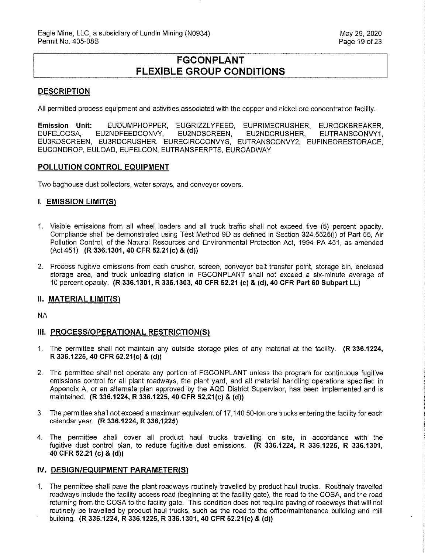# **FGCONPLANT FLEXIBLE GROUP CONDITIONS**

#### **DESCRIPTION**

All permitted process equipment and activities associated with the copper and nickel ore concentration facility.

**Emission Unit:** EUDUMPHOPPER, EUGRIZZLYFEED, EUPRIMECRUSHER, EUROCKBREAKER, EUFELCOSA, EU2NDFEEDCONVY, EU2NDSCREEN, EU2NDCRUSHER, EUTRANSCONVY1, EU3RDSCREEN, EU3RDCRUSHER, EURECIRCCONVYS, EUTRANSCONVY2, EUFINEORESTORAGE, EUCONDROP, EULOAD, EUFELCON, EUTRANSFERPTS, EUROADWAY

#### **POLLUTION CONTROL EQUIPMENT**

Two baghouse dust collectors, water sprays, and conveyor covers.

#### **I. EMISSION LIMIT(S)**

- 1. Visible emissions from all wheel loaders and all truck traffic shall not exceed five (5) percent opacity. Compliance shall be demonstrated using Test Method 9D as defined in Section 324.5525(i) of Part 55, Air Pollution Control, of the Natural Resources and Environmental Protection Act, 1994 PA 451, as amended (Act 451). **(R 336.1301, 40 CFR 52.21(c) & (d))**
- 2. Process fugitive emissions from each crusher, screen, conveyor belt transfer point, storage bin, enclosed storage area, and truck unloading station in FGCONPLANT shall not exceed a six-minute average of 10 percent opacity. **(R 336.1301, R 336.1303, 40 CFR 52.21 (c)** & **(d), 40 CFR Part 60 Subpart LL)**

### **II. MATERIAL LIMIT(S)**

NA

### **III. PROCESS/OPERATIONAL RESTRICTION(S)**

- 1. The permittee shall not maintain any outside storage piles of any material at the facility. **(R 336.1224, R 336.1225, 40 CFR 52.21(c) & (d))**
- 2. The permittee shall not operate any portion of FGCONPLANT unless the program for continuous fugitive emissions control for all plant roadways, the plant yard, and all material handling operations specified in Appendix A, or an alternate plan approved by the AQD District Supervisor, has been implemented and is maintained. **(R 336.1224, R 336.1225, 40 CFR 52.21(c) & (d))**
- 3. The permittee shall not exceed a maximum equivalent of 17,140 50-ton ore trucks entering the facility for each calendar year. **(R 336.1224, R 336.1225)**
- 4. The permittee shall cover all product haul trucks travelling on site, in accordance with the fugitive dust control plan, to reduce fugitive dust emissions. **(R 336.1224, R 336.1225, R 336.1301, 40 CFR 52.21 (c) & (d))**

#### **IV. DESIGN/EQUIPMENT PARAMETER(S)**

1. The permittee shall pave the plant roadways routinely travelled by product haul trucks. Routinely travelled roadways include the facility access road (beginning at the facility gate), the road to the COSA, and the road returning from the COSA to the facility gate. This condition does not require paving of roadways that will not routinely be travelled by product haul trucks, such as the road to the office/maintenance building and mill building. **(R 336.1224, R 336.1225, R 336.1301, 40 CFR 52.21(c) & (d))**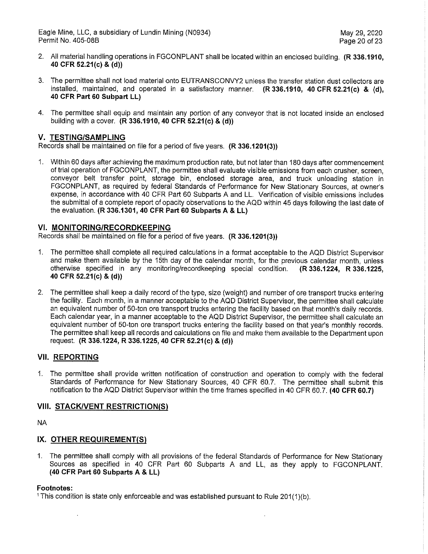Eagle Mine, LLC, a subsidiary of Lundin Mining (N0934) May 29, 2020 Permit No. 405-08B

- 2. All material handling operations in FGCONPLANT shall be located within an enclosed building. **(R 336.1910, 40 CFR 52.21(c) & (d))**
- 3. The permittee shall not load material onto EUTRANSCONVY2 unless the transfer station dust collectors are installed, maintained, and operated in a satisfactory manner. **(R 336.1910, 40 CFR 52.21(c) & (d), 40 CFR Part 60 Subpart LL)**
- 4. The permittee shall equip and maintain any portion of any conveyor that is not located inside an enclosed building with a cover. **(R 336.1910, 40 CFR 52.21(c) & (d))**

#### **V. TESTING/SAMPLING**

Records shall be maintained on file for a period of five years. **(R 336.1201(3))** 

1. Within 60 days after achieving the maximum production rate, but not later than 180 days after commencement of trial operation of FGCONPLANT, the permittee shall evaluate visible emissions from each crusher, screen, conveyor belt transfer point, storage bin, enclosed storage area, and truck unloading station in FGCONPLANT, as required by federal Standards of Performance for New Stationary Sources, at owner's expense, in accordance with 40 CFR Part 60 Subparts A and LL. Verification of visible emissions includes the submittal of a complete report of opacity observations to the AQD within 45 days following the last date of the evaluation. **(R 336.1301, 40 CFR Part 60 Subparts A & LL)** 

#### **VI. MONITORING/RECORDKEEPING**

Records shall be maintained on file for a period of five years. **(R 336.1201(3))** 

- 1. The permittee shall complete all required calculations in a format acceptable to the AQD District Supervisor and make them available by the 15th day of the calendar month, for the previous calendar month, unless otherwise specified in any monitoring/recordkeeping special condition. **(R 336.1224, R 336.1225, 40 CFR 52.21(c)** & **(d))**
- 2. The permittee shall keep a daily record of the type, size (weight) and number of ore transport trucks entering the facility. Each month, in a manner acceptable to the AQD District Supervisor, the permittee shall calculate an equivalent number of 50-ton ore transport trucks entering the facility based on that month's daily records. Each calendar year, in a manner acceptable to the AQD District Supervisor, the permittee shall calculate an equivalent number of 50-ton ore transport trucks entering the facility based on that year's monthly records. The permittee shall keep all records and calculations on file and make them available to the Department upon request. **(R 336.1224, R 336.1225, 40 CFR 52.21(c) & (d))**

#### **VII. REPORTING**

1. The permittee shall provide written notification of construction and operation to comply with the federal Standards of Performance for New Stationary Sources, 40 CFR 60.7. The permittee shall submit this notification to the AQD District Supervisor within the time frames specified in 40 CFR 60.7. **(40 CFR 60.7)** 

#### **VIII. STACK/VENT RESTRICTION/SI**

NA

### **IX. OTHER REQUIREMENT(S)**

1. The permittee shall comply with all provisions of the federal Standards of Performance for New Stationary Sources as specified in 40 CFR Part 60 Subparts A and LL, as they apply to FGCONPLANT. **(40 CFR Part 60 Subparts A & LL)** 

#### **Footnotes:**

<sup>1</sup> This condition is state only enforceable and was established pursuant to Rule 201(1)(b).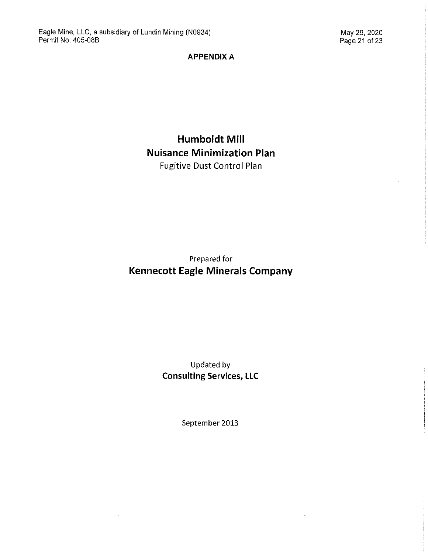$\mathbf{r}$ 

## **APPENDIX A**

# **Humboldt Mill Nuisance Minimization Plan**  Fugitive Dust Control Plan

# Prepared for **Kennecott Eagle Minerals Company**

# Updated by **Consulting Services, LLC**

September 2013

 $\ddot{\phantom{a}}$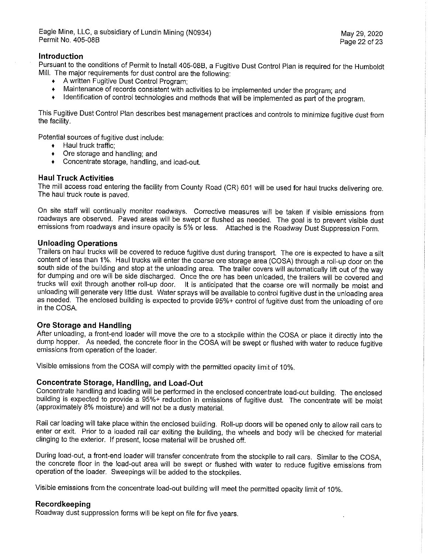### **Introduction**

Pursuant to the conditions of Permit to Install 405-088, a Fugitive Dust Control Plan is required for the Humboldt Mill. The major requirements for dust control are the following:

- + A written Fugitive Dust Control Program;
- $\begin{array}{ll}\n\text{4} & \text{M} \\
\text{5} & \text{M} \\
\text{6} & \text{M} \\
\text{7} & \text{M} \\
\text{8} & \text{M} \\
\text{9} & \text{M} \\
\text{10} & \text{M} \\
\text{11} & \text{M} \\
\text{12} & \text{M} \\
\text{13} & \text{M} \\
\text{14} & \text{M} \\
\text{15} & \text{M} \\
\text{16} & \text{M} \\
\text{17} & \text{M} \\
\text{18} &$
- Identification of control technologies and methods that will be implemented as part of the program.

This Fugitive Dust Control Plan describes best management practices and controls to minimize fugitive dust from the facility.

Potential sources of fugitive dust include:

- + Haul truck traffic;
- + Ore storage and handling; and
- + Concentrate storage, handling, and load-out.

#### **Haul Truck Activities**

The mill access road entering the facility from County Road (CR) 601 will be used for haul trucks delivering ore. The haul truck route is paved.

On site staff will continually monitor roadways. Corrective measures will be taken if visible emissions from roadways are observed. Paved areas will be swept or flushed as needed. The goal is to prevent visible dust emissions from roadways and insure opacity is 5% or less. Attached is the Roadway Dust Suppression Form.

#### **Unloading Operations**

Trailers on haul trucks will be covered to reduce fugitive dust during transport. The ore is expected to have a silt content of less than 1%. Haul trucks will enter the coarse ore storage area (GOSA) through a roll-up door on the south side of the building and stop at the unloading area. The trailer covers will automatically lift out of the way for dumping and ore will be side discharged. Once the ore has been unloaded, the trailers will be covered and trucks will exit through another roll-up door. It is anticipated that the coarse ore will normally be moist and unloading will generate very little dust. Water sprays will be available to control fugitive dust in the unloading area as needed. The enclosed building is expected to provide 95%+ control of fugitive dust from the unloading of ore in the GOSA.

#### **Ore Storage and Handling**

After unloading, a front-end loader will move the ore to a stockpile within the GOSA or place it directly into the dump hopper. As needed, the concrete floor in the GOSA will be swept or flushed with water to reduce fugitive emissions from operation of the loader.

Visible emissions from the GOSA will comply with the permitted opacity limit of 10%.

#### **Concentrate Storage, Handling, and Load-Out**

Concentrate handling and loading will be performed in the enclosed concentrate load-out building. The enclosed building is expected to provide a 95%+ reduction in emissions of fugitive dust. The concentrate will be moist (approximately 8% moisture) and will not be a dusty material.

Rail car loading will take place within the enclosed building. Roll-up doors will be opened only to allow rail cars to enter or exit. Prior to a loaded rail car exiting the building, the wheels and body will be checked for material clinging to the exterior. If present, loose material will be brushed off.

During load-out, a front-end loader will transfer concentrate from the stockpile to rail cars. Similar to the GOSA, the concrete floor in the load-out area will be swept or flushed with water to reduce fugitive emissions from operation of the loader. Sweepings will be added to the stockpiles.

Visible emissions from the concentrate load-out building will meet the permitted opacity limit of 10%.

#### **Recordkeeping**

Roadway dust suppression forms will be kept on file for five years.